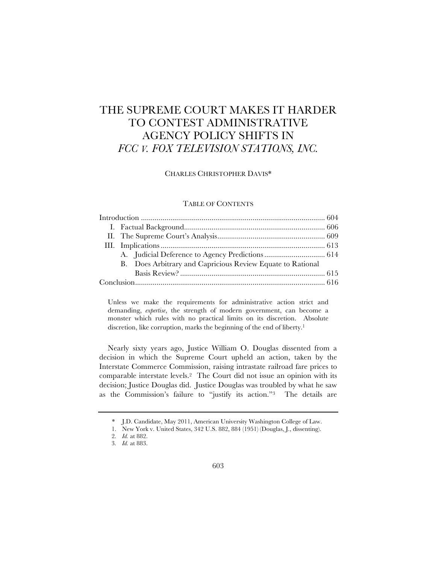# THE SUPREME COURT MAKES IT HARDER TO CONTEST ADMINISTRATIVE AGENCY POLICY SHIFTS IN *FCC V. FOX TELEVISION STATIONS, INC.*

CHARLES CHRISTOPHER DAVIS\*

# TABLE OF CONTENTS

|  | B. Does Arbitrary and Capricious Review Equate to Rational |  |
|--|------------------------------------------------------------|--|
|  |                                                            |  |
|  |                                                            |  |

Unless we make the requirements for administrative action strict and demanding, *expertise*, the strength of modern government, can become a monster which rules with no practical limits on its discretion. Absolute discretion, like corruption, marks the beginning of the end of liberty.<sup>1</sup>

Nearly sixty years ago, Justice William O. Douglas dissented from a decision in which the Supreme Court upheld an action, taken by the Interstate Commerce Commission, raising intrastate railroad fare prices to comparable interstate levels.2 The Court did not issue an opinion with its decision; Justice Douglas did. Justice Douglas was troubled by what he saw as the Commission's failure to "justify its action."3 The details are

<sup>\*</sup> J.D. Candidate, May 2011, American University Washington College of Law.

<sup>1.</sup> New York v. United States, 342 U.S. 882, 884 (1951) (Douglas, J., dissenting).

<sup>2</sup>*. Id.* at 882.

<sup>3</sup>*. Id.* at 883.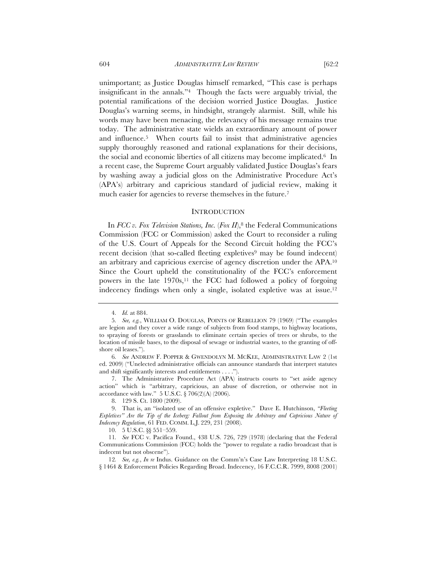unimportant; as Justice Douglas himself remarked, "This case is perhaps insignificant in the annals."4 Though the facts were arguably trivial, the potential ramifications of the decision worried Justice Douglas. Justice Douglas's warning seems, in hindsight, strangely alarmist. Still, while his words may have been menacing, the relevancy of his message remains true today. The administrative state wields an extraordinary amount of power and influence.5 When courts fail to insist that administrative agencies supply thoroughly reasoned and rational explanations for their decisions, the social and economic liberties of all citizens may become implicated.6 In a recent case, the Supreme Court arguably validated Justice Douglas's fears by washing away a judicial gloss on the Administrative Procedure Act's (APA's) arbitrary and capricious standard of judicial review, making it much easier for agencies to reverse themselves in the future.<sup>7</sup>

#### **INTRODUCTION**

In *FCC v. Fox Television Stations, Inc.* (*Fox II*),<sup>8</sup> the Federal Communications Commission (FCC or Commission) asked the Court to reconsider a ruling of the U.S. Court of Appeals for the Second Circuit holding the FCC's recent decision (that so-called fleeting expletives<sup>9</sup> may be found indecent) an arbitrary and capricious exercise of agency discretion under the APA.10 Since the Court upheld the constitutionality of the FCC's enforcement powers in the late 1970s,11 the FCC had followed a policy of forgoing indecency findings when only a single, isolated expletive was at issue.12

<sup>4</sup>*. Id.* at 884.

<sup>5</sup>*. See, e.g.*, WILLIAM O. DOUGLAS, POINTS OF REBELLION 79 (1969) ("The examples are legion and they cover a wide range of subjects from food stamps, to highway locations, to spraying of forests or grasslands to eliminate certain species of trees or shrubs, to the location of missile bases, to the disposal of sewage or industrial wastes, to the granting of offshore oil leases.").

<sup>6</sup>*. See* ANDREW F. POPPER & GWENDOLYN M. MCKEE, ADMINISTRATIVE LAW 2 (1st ed. 2009) ("Unelected administrative officials can announce standards that interpret statutes and shift significantly interests and entitlements . . . .").

<sup>7.</sup> The Administrative Procedure Act (APA) instructs courts to "set aside agency action" which is "arbitrary, capricious, an abuse of discretion, or otherwise not in accordance with law." 5 U.S.C. § 706(2)(A) (2006).

<sup>8.</sup> 129 S. Ct. 1800 (2009).

<sup>9.</sup> That is, an "isolated use of an offensive expletive." Dave E. Hutchinson, *"Fleeting Expletives" Are the Tip of the Iceberg: Fallout from Exposing the Arbitrary and Capricious Nature of Indecency Regulation*, 61 FED. COMM. L.J. 229, 231 (2008).

<sup>10.</sup> 5 U.S.C. §§ 551–559.

<sup>11</sup>*. See* FCC v. Pacifica Found., 438 U.S. 726, 729 (1978) (declaring that the Federal Communications Commission (FCC) holds the "power to regulate a radio broadcast that is indecent but not obscene").

<sup>12</sup>*. See, e.g.*, *In re* Indus. Guidance on the Comm'n's Case Law Interpreting 18 U.S.C. § 1464 & Enforcement Policies Regarding Broad. Indecency, 16 F.C.C.R. 7999, 8008 (2001)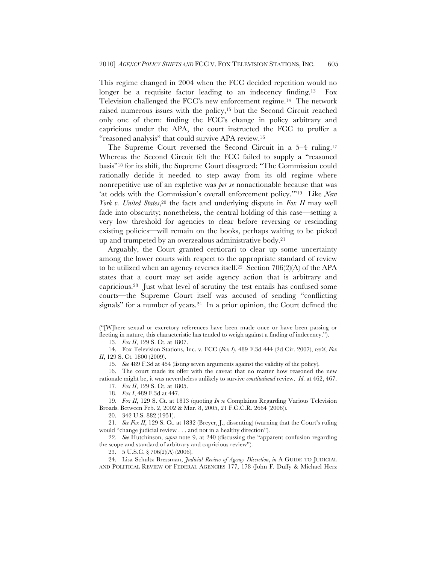This regime changed in 2004 when the FCC decided repetition would no longer be a requisite factor leading to an indecency finding.<sup>13</sup> Fox Television challenged the FCC's new enforcement regime.14 The network raised numerous issues with the policy,15 but the Second Circuit reached only one of them: finding the FCC's change in policy arbitrary and capricious under the APA, the court instructed the FCC to proffer a "reasoned analysis" that could survive APA review.16

The Supreme Court reversed the Second Circuit in a 5–4 ruling.17 Whereas the Second Circuit felt the FCC failed to supply a "reasoned basis"18 for its shift, the Supreme Court disagreed: "The Commission could rationally decide it needed to step away from its old regime where nonrepetitive use of an expletive was *per se* nonactionable because that was 'at odds with the Commission's overall enforcement policy.'"19 Like *New York v. United States*,<sup>20</sup> the facts and underlying dispute in *Fox II* may well fade into obscurity; nonetheless, the central holding of this case—setting a very low threshold for agencies to clear before reversing or rescinding existing policies—will remain on the books, perhaps waiting to be picked up and trumpeted by an overzealous administrative body.21

Arguably, the Court granted certiorari to clear up some uncertainty among the lower courts with respect to the appropriate standard of review to be utilized when an agency reverses itself.<sup>22</sup> Section  $706(2)(A)$  of the APA states that a court may set aside agency action that is arbitrary and capricious.23 Just what level of scrutiny the test entails has confused some courts—the Supreme Court itself was accused of sending "conflicting signals" for a number of years.24 In a prior opinion, the Court defined the

15*. See* 489 F.3d at 454 (listing seven arguments against the validity of the policy).

16. The court made its offer with the caveat that no matter how reasoned the new rationale might be, it was nevertheless unlikely to survive *constitutional* review. *Id*. at 462, 467.

17*. Fox II*, 129 S. Ct. at 1805.

20. 342 U.S. 882 (1951).

21*. See Fox II*, 129 S. Ct. at 1832 (Breyer, J., dissenting) (warning that the Court's ruling would "change judicial review . . . and not in a healthy direction").

22*. See* Hutchinson, *supra* note 9, at 240 (discussing the "apparent confusion regarding the scope and standard of arbitrary and capricious review").

23. 5 U.S.C. § 706(2)(A) (2006).

<sup>(&</sup>quot;[W]here sexual or excretory references have been made once or have been passing or fleeting in nature, this characteristic has tended to weigh against a finding of indecency.").

<sup>13</sup>*. Fox II*, 129 S. Ct. at 1807.

<sup>14.</sup> Fox Television Stations, Inc. v. FCC (*Fox I*), 489 F.3d 444 (2d Cir. 2007), *rev'd*, *Fox II*, 129 S. Ct. 1800 (2009).

<sup>18</sup>*. Fox I*, 489 F.3d at 447.

<sup>19</sup>*. Fox II*, 129 S. Ct. at 1813 (quoting *In re* Complaints Regarding Various Television Broads. Between Feb. 2, 2002 & Mar. 8, 2005, 21 F.C.C.R. 2664 (2006)).

<sup>24.</sup> Lisa Schultz Bressman, *Judicial Review of Agency Discretion*, *in* A GUIDE TO JUDICIAL AND POLITICAL REVIEW OF FEDERAL AGENCIES 177, 178 (John F. Duffy & Michael Herz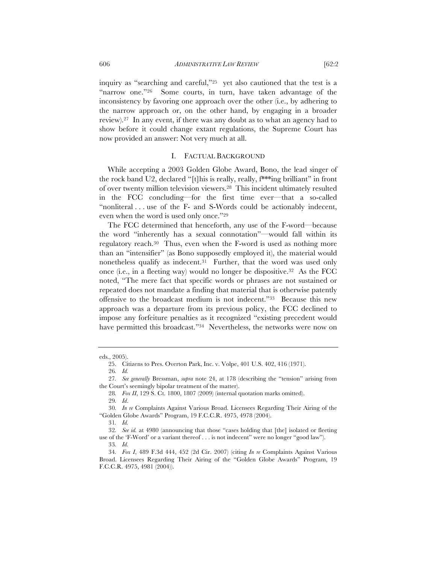inquiry as "searching and careful,"25 yet also cautioned that the test is a "narrow one."26 Some courts, in turn, have taken advantage of the inconsistency by favoring one approach over the other (i.e., by adhering to the narrow approach or, on the other hand, by engaging in a broader review).27 In any event, if there was any doubt as to what an agency had to show before it could change extant regulations, the Supreme Court has now provided an answer: Not very much at all.

## I. FACTUAL BACKGROUND

While accepting a 2003 Golden Globe Award, Bono, the lead singer of the rock band U2, declared "[t]his is really, really, f\*\*\*ing brilliant" in front of over twenty million television viewers.28 This incident ultimately resulted in the FCC concluding—for the first time ever—that a so-called "nonliteral . . . use of the F- and S-Words could be actionably indecent, even when the word is used only once."29

The FCC determined that henceforth, any use of the F-word—because the word "inherently has a sexual connotation"—would fall within its regulatory reach.30 Thus, even when the F-word is used as nothing more than an "intensifier" (as Bono supposedly employed it), the material would nonetheless qualify as indecent.31 Further, that the word was used only once (i.e., in a fleeting way) would no longer be dispositive.32 As the FCC noted, "The mere fact that specific words or phrases are not sustained or repeated does not mandate a finding that material that is otherwise patently offensive to the broadcast medium is not indecent."33 Because this new approach was a departure from its previous policy, the FCC declined to impose any forfeiture penalties as it recognized "existing precedent would have permitted this broadcast."<sup>34</sup> Nevertheless, the networks were now on

eds., 2005).

<sup>25.</sup> Citizens to Pres. Overton Park, Inc. v. Volpe, 401 U.S. 402, 416 (1971).

<sup>26</sup>*. Id.*

<sup>27</sup>*. See generally* Bressman, *supra* note 24, at 178 (describing the "tension" arising from the Court's seemingly bipolar treatment of the matter).

<sup>28</sup>*. Fox II*, 129 S. Ct. 1800, 1807 (2009) (internal quotation marks omitted).

<sup>29</sup>*. Id*.

<sup>30</sup>*. In re* Complaints Against Various Broad. Licensees Regarding Their Airing of the "Golden Globe Awards" Program, 19 F.C.C.R. 4975, 4978 (2004).

<sup>31</sup>*. Id.*

<sup>32</sup>*. See id.* at 4980 (announcing that those "cases holding that [the] isolated or fleeting use of the 'F-Word' or a variant thereof . . . is not indecent" were no longer "good law").

<sup>33</sup>*. Id.*

<sup>34</sup>*. Fox I*, 489 F.3d 444, 452 (2d Cir. 2007) (citing *In re* Complaints Against Various Broad. Licensees Regarding Their Airing of the "Golden Globe Awards" Program, 19 F.C.C.R. 4975, 4981 (2004)).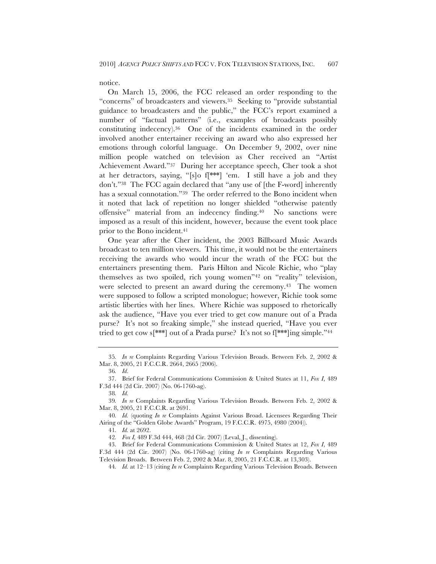notice.

On March 15, 2006, the FCC released an order responding to the "concerns" of broadcasters and viewers.35 Seeking to "provide substantial guidance to broadcasters and the public," the FCC's report examined a number of "factual patterns" (i.e., examples of broadcasts possibly constituting indecency).36 One of the incidents examined in the order involved another entertainer receiving an award who also expressed her emotions through colorful language. On December 9, 2002, over nine million people watched on television as Cher received an "Artist Achievement Award."37 During her acceptance speech, Cher took a shot at her detractors, saying, "[s]o f[\*\*\*] 'em. I still have a job and they don't."38 The FCC again declared that "any use of [the F-word] inherently has a sexual connotation."39 The order referred to the Bono incident when it noted that lack of repetition no longer shielded "otherwise patently offensive" material from an indecency finding.40 No sanctions were imposed as a result of this incident, however, because the event took place prior to the Bono incident.41

One year after the Cher incident, the 2003 Billboard Music Awards broadcast to ten million viewers. This time, it would not be the entertainers receiving the awards who would incur the wrath of the FCC but the entertainers presenting them. Paris Hilton and Nicole Richie, who "play themselves as two spoiled, rich young women"42 on "reality" television, were selected to present an award during the ceremony.43 The women were supposed to follow a scripted monologue; however, Richie took some artistic liberties with her lines. Where Richie was supposed to rhetorically ask the audience, "Have you ever tried to get cow manure out of a Prada purse? It's not so freaking simple," she instead queried, "Have you ever tried to get cow s<sup>[\*\*\*]</sup> out of a Prada purse? It's not so f<sup>[\*\*\*]</sup>ing simple."<sup>44</sup>

36*. Id*.

38*. Id.*

41*. Id.* at 2692.

42*. Fox I,* 489 F.3d 444, 468 (2d Cir. 2007) (Leval, J., dissenting).

<sup>35</sup>*. In re* Complaints Regarding Various Television Broads. Between Feb. 2, 2002 & Mar. 8, 2005, 21 F.C.C.R. 2664, 2665 (2006).

<sup>37.</sup> Brief for Federal Communications Commission & United States at 11, *Fox I*, 489 F.3d 444 (2d Cir. 2007) (No. 06-1760-ag).

<sup>39</sup>*. In re* Complaints Regarding Various Television Broads. Between Feb. 2, 2002 & Mar. 8, 2005, 21 F.C.C.R. at 2691.

<sup>40</sup>*. Id.* (quoting *In re* Complaints Against Various Broad. Licensees Regarding Their Airing of the "Golden Globe Awards" Program, 19 F.C.C.R. 4975, 4980 (2004)).

<sup>43.</sup> Brief for Federal Communications Commission & United States at 12, *Fox I*, 489 F.3d 444 (2d Cir. 2007) (No. 06-1760-ag) (citing *In re* Complaints Regarding Various Television Broads. Between Feb. 2, 2002 & Mar. 8, 2005, 21 F.C.C.R. at 13,303).

<sup>44</sup>*. Id.* at 12–13 (citing *In re* Complaints Regarding Various Television Broads. Between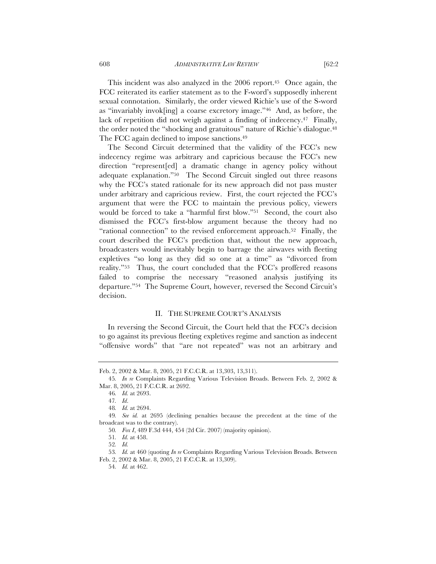This incident was also analyzed in the 2006 report.45 Once again, the FCC reiterated its earlier statement as to the F-word's supposedly inherent sexual connotation. Similarly, the order viewed Richie's use of the S-word as "invariably invok[ing] a coarse excretory image."46 And, as before, the lack of repetition did not weigh against a finding of indecency.47 Finally, the order noted the "shocking and gratuitous" nature of Richie's dialogue.48 The FCC again declined to impose sanctions.<sup>49</sup>

The Second Circuit determined that the validity of the FCC's new indecency regime was arbitrary and capricious because the FCC's new direction "represent[ed] a dramatic change in agency policy without adequate explanation."50 The Second Circuit singled out three reasons why the FCC's stated rationale for its new approach did not pass muster under arbitrary and capricious review. First, the court rejected the FCC's argument that were the FCC to maintain the previous policy, viewers would be forced to take a "harmful first blow."51 Second, the court also dismissed the FCC's first-blow argument because the theory had no "rational connection" to the revised enforcement approach.52 Finally, the court described the FCC's prediction that, without the new approach, broadcasters would inevitably begin to barrage the airwaves with fleeting expletives "so long as they did so one at a time" as "divorced from reality."53 Thus, the court concluded that the FCC's proffered reasons failed to comprise the necessary "reasoned analysis justifying its departure."54 The Supreme Court, however, reversed the Second Circuit's decision.

#### II. THE SUPREME COURT'S ANALYSIS

In reversing the Second Circuit, the Court held that the FCC's decision to go against its previous fleeting expletives regime and sanction as indecent "offensive words" that "are not repeated" was not an arbitrary and

Feb. 2, 2002 & Mar. 8, 2005, 21 F.C.C.R. at 13,303, 13,311).

<sup>45</sup>*. In re* Complaints Regarding Various Television Broads. Between Feb. 2, 2002 & Mar. 8, 2005, 21 F.C.C.R. at 2692.

<sup>46</sup>*. Id.* at 2693.

<sup>47</sup>*. Id*.

<sup>48</sup>*. Id.* at 2694.

<sup>49</sup>*. See id.* at 2695 (declining penalties because the precedent at the time of the broadcast was to the contrary).

<sup>50</sup>*. Fox I*, 489 F.3d 444, 454 (2d Cir. 2007) (majority opinion).

<sup>51</sup>*. Id.* at 458.

<sup>52</sup>*. Id.*

<sup>53</sup>*. Id.* at 460 (quoting *In re* Complaints Regarding Various Television Broads. Between Feb. 2, 2002 & Mar. 8, 2005, 21 F.C.C.R. at 13,309).

<sup>54</sup>*. Id.* at 462.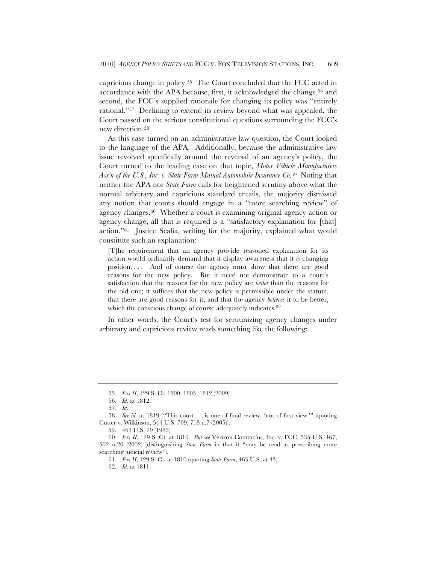capricious change in policy.55 The Court concluded that the FCC acted in accordance with the APA because, first, it acknowledged the change,  $56$  and second, the FCC's supplied rationale for changing its policy was "entirely rational."57 Declining to extend its review beyond what was appealed, the Court passed on the serious constitutional questions surrounding the FCC's new direction.58

As this case turned on an administrative law question, the Court looked to the language of the APA. Additionally, because the administrative law issue revolved specifically around the reversal of an agency's policy, the Court turned to the leading case on that topic, *Motor Vehicle Manufacturers Ass'n of the U.S., Inc. v. State Farm Mutual Automobile Insurance Co.*59 Noting that neither the APA nor *State Farm* calls for heightened scrutiny above what the normal arbitrary and capricious standard entails, the majority dismissed any notion that courts should engage in a "more searching review" of agency changes.60 Whether a court is examining original agency action or agency change, all that is required is a "satisfactory explanation for [that] action."61 Justice Scalia, writing for the majority, explained what would constitute such an explanation:

[T]he requirement that an agency provide reasoned explanation for its action would ordinarily demand that it display awareness that it *is* changing position. . . . And of course the agency must show that there are good reasons for the new policy. But it need not demonstrate to a court's satisfaction that the reasons for the new policy are *better* than the reasons for the old one; it suffices that the new policy is permissible under the statute, that there are good reasons for it, and that the agency *believes* it to be better, which the conscious change of course adequately indicates.<sup>62</sup>

In other words, the Court's test for scrutinizing agency changes under arbitrary and capricious review reads something like the following:

<sup>55</sup>*. Fox II*, 129 S. Ct. 1800, 1805, 1812 (2009).

<sup>56</sup>*. Id.* at 1812.

<sup>57</sup>*. Id.*

<sup>58</sup>*. See id.* at 1819 ("This court . . . is one of final review, 'not of first view.'" (quoting Cutter v. Wilkinson, 544 U.S. 709, 718 n.7 (2005)).

<sup>59.</sup> 463 U.S. 29 (1983).

<sup>60</sup>*. Fox II*, 129 S. Ct. at 1810. *But see* Verizon Commc'ns, Inc. v. FCC, 535 U.S. 467, 502 n.20 (2002) (distinguishing *State Farm* in that it "may be read as prescribing more searching judicial review").

<sup>61</sup>*. Fox II*, 129 S. Ct. at 1810 (quoting *State Farm*, 463 U.S. at 43).

<sup>62</sup>*. Id.* at 1811.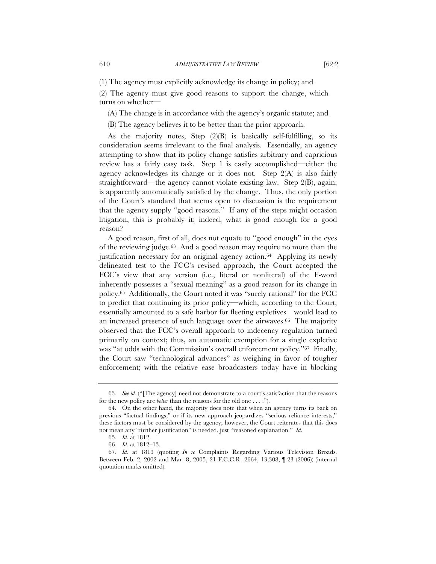(1) The agency must explicitly acknowledge its change in policy; and

(2) The agency must give good reasons to support the change, which turns on whether—

(A) The change is in accordance with the agency's organic statute; and

(B) The agency believes it to be better than the prior approach.

As the majority notes, Step  $(2)(B)$  is basically self-fulfilling, so its consideration seems irrelevant to the final analysis. Essentially, an agency attempting to show that its policy change satisfies arbitrary and capricious review has a fairly easy task. Step 1 is easily accomplished—either the agency acknowledges its change or it does not. Step 2(A) is also fairly straightforward—the agency cannot violate existing law. Step 2(B), again, is apparently automatically satisfied by the change. Thus, the only portion of the Court's standard that seems open to discussion is the requirement that the agency supply "good reasons." If any of the steps might occasion litigation, this is probably it; indeed, what is good enough for a good reason?

A good reason, first of all, does not equate to "good enough" in the eyes of the reviewing judge.63 And a good reason may require no more than the justification necessary for an original agency action.64 Applying its newly delineated test to the FCC's revised approach, the Court accepted the FCC's view that any version (i.e., literal or nonliteral) of the F-word inherently possesses a "sexual meaning" as a good reason for its change in policy.65 Additionally, the Court noted it was "surely rational" for the FCC to predict that continuing its prior policy—which, according to the Court, essentially amounted to a safe harbor for fleeting expletives—would lead to an increased presence of such language over the airwaves.<sup>66</sup> The majority observed that the FCC's overall approach to indecency regulation turned primarily on context; thus, an automatic exemption for a single expletive was "at odds with the Commission's overall enforcement policy."67 Finally, the Court saw "technological advances" as weighing in favor of tougher enforcement; with the relative ease broadcasters today have in blocking

<sup>63</sup>*. See id.* ("[The agency] need not demonstrate to a court's satisfaction that the reasons for the new policy are *better* than the reasons for the old one . . . .").

<sup>64.</sup> On the other hand, the majority does note that when an agency turns its back on previous "factual findings," or if its new approach jeopardizes "serious reliance interests," these factors must be considered by the agency; however, the Court reiterates that this does not mean any "further justification" is needed, just "reasoned explanation." *Id*.

<sup>65</sup>*. Id.* at 1812.

<sup>66</sup>*. Id.* at 1812–13.

<sup>67</sup>*. Id.* at 1813 (quoting *In re* Complaints Regarding Various Television Broads. Between Feb. 2, 2002 and Mar. 8, 2005, 21 F.C.C.R. 2664, 13,308, ¶ 23 (2006)) (internal quotation marks omitted).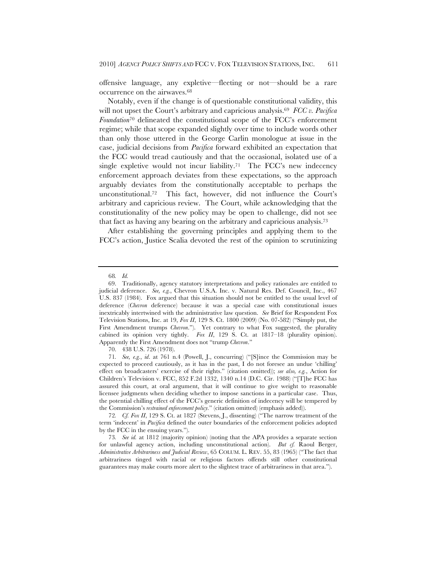offensive language, any expletive—fleeting or not—should be a rare occurrence on the airwaves.68

Notably, even if the change is of questionable constitutional validity, this will not upset the Court's arbitrary and capricious analysis.69 *FCC v. Pacifica Foundation*<sup>70</sup> delineated the constitutional scope of the FCC's enforcement regime; while that scope expanded slightly over time to include words other than only those uttered in the George Carlin monologue at issue in the case, judicial decisions from *Pacifica* forward exhibited an expectation that the FCC would tread cautiously and that the occasional, isolated use of a single expletive would not incur liability.<sup>71</sup> The FCC's new indecency enforcement approach deviates from these expectations, so the approach arguably deviates from the constitutionally acceptable to perhaps the unconstitutional.72 This fact, however, did not influence the Court's arbitrary and capricious review. The Court, while acknowledging that the constitutionality of the new policy may be open to challenge, did not see that fact as having any bearing on the arbitrary and capricious analysis.73

After establishing the governing principles and applying them to the FCC's action, Justice Scalia devoted the rest of the opinion to scrutinizing

70. 438 U.S. 726 (1978).

71*. See, e.g.*, *id*. at 761 n.4 (Powell, J., concurring) ("[S]ince the Commission may be expected to proceed cautiously, as it has in the past, I do not foresee an undue 'chilling' effect on broadcasters' exercise of their rights." (citation omitted)); *see also, e.g.*, Action for Children's Television v. FCC, 852 F.2d 1332, 1340 n.14 (D.C. Cir. 1988) ("[T]he FCC has assured this court, at oral argument, that it will continue to give weight to reasonable licensee judgments when deciding whether to impose sanctions in a particular case. Thus, the potential chilling effect of the FCC's generic definition of indecency will be tempered by the Commission's *restrained enforcement policy.*" (citation omitted) (emphasis added)).

72*. Cf. Fox II*, 129 S. Ct. at 1827 (Stevens, J., dissenting) ("The narrow treatment of the term 'indecent' in *Pacifica* defined the outer boundaries of the enforcement policies adopted by the FCC in the ensuing years.").

73*. See id.* at 1812 (majority opinion) (noting that the APA provides a separate section for unlawful agency action, including unconstitutional action). *But cf.* Raoul Berger, *Administrative Arbitrariness and Judicial Review*, 65 COLUM. L. REV. 55, 83 (1965) ("The fact that arbitrariness tinged with racial or religious factors offends still other constitutional guarantees may make courts more alert to the slightest trace of arbitrariness in that area.").

<sup>68</sup>*. Id.*

<sup>69.</sup> Traditionally, agency statutory interpretations and policy rationales are entitled to judicial deference. *See, e.g.*, Chevron U.S.A. Inc. v. Natural Res. Def. Council, Inc., 467 U.S. 837 (1984). Fox argued that this situation should not be entitled to the usual level of deference (*Chevron* deference) because it was a special case with constitutional issues inextricably intertwined with the administrative law question. *See* Brief for Respondent Fox Television Stations, Inc. at 19, *Fox II*, 129 S. Ct. 1800 (2009) (No. 07-582) ("Simply put, the First Amendment trumps *Chevron*."). Yet contrary to what Fox suggested, the plurality cabined its opinion very tightly. *Fox II*, 129 S. Ct. at 1817–18 (plurality opinion). Apparently the First Amendment does not "trump *Chevron*."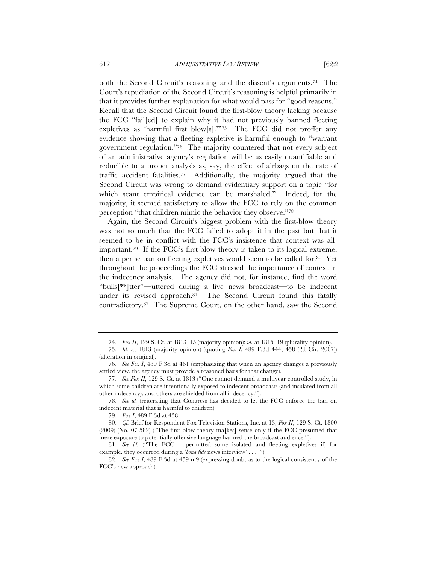both the Second Circuit's reasoning and the dissent's arguments.74 The Court's repudiation of the Second Circuit's reasoning is helpful primarily in that it provides further explanation for what would pass for "good reasons." Recall that the Second Circuit found the first-blow theory lacking because the FCC "fail[ed] to explain why it had not previously banned fleeting expletives as 'harmful first blow[s].'"75 The FCC did not proffer any evidence showing that a fleeting expletive is harmful enough to "warrant government regulation."76 The majority countered that not every subject of an administrative agency's regulation will be as easily quantifiable and reducible to a proper analysis as, say, the effect of airbags on the rate of traffic accident fatalities.77 Additionally, the majority argued that the Second Circuit was wrong to demand evidentiary support on a topic "for which scant empirical evidence can be marshaled." Indeed, for the majority, it seemed satisfactory to allow the FCC to rely on the common perception "that children mimic the behavior they observe."78

Again, the Second Circuit's biggest problem with the first-blow theory was not so much that the FCC failed to adopt it in the past but that it seemed to be in conflict with the FCC's insistence that context was allimportant.79 If the FCC's first-blow theory is taken to its logical extreme, then a per se ban on fleeting expletives would seem to be called for.80 Yet throughout the proceedings the FCC stressed the importance of context in the indecency analysis. The agency did not, for instance, find the word "bulls[\*\*]tter"—uttered during a live news broadcast—to be indecent under its revised approach.81 The Second Circuit found this fatally contradictory.82 The Supreme Court, on the other hand, saw the Second

79*. Fox I*, 489 F.3d at 458.

<sup>74</sup>*. Fox II*, 129 S. Ct. at 1813–15 (majority opinion); *id.* at 1815–19 (plurality opinion).

<sup>75</sup>*. Id.* at 1813 (majority opinion) (quoting *Fox I*, 489 F.3d 444, 458 (2d Cir. 2007)) (alteration in original).

<sup>76</sup>*. See Fox I*, 489 F.3d at 461 (emphasizing that when an agency changes a previously settled view, the agency must provide a reasoned basis for that change).

<sup>77</sup>*. See Fox II*, 129 S. Ct. at 1813 ("One cannot demand a multiyear controlled study, in which some children are intentionally exposed to indecent broadcasts (and insulated from all other indecency), and others are shielded from all indecency.").

<sup>78</sup>*. See id.* (reiterating that Congress has decided to let the FCC enforce the ban on indecent material that is harmful to children).

<sup>80</sup>*. Cf.* Brief for Respondent Fox Television Stations, Inc. at 13, *Fox II*, 129 S. Ct. 1800 (2009) (No. 07-582) ("The first blow theory ma[kes] sense only if the FCC presumed that mere exposure to potentially offensive language harmed the broadcast audience.").

<sup>81</sup>*. See id.* ("The FCC . . . permitted some isolated and fleeting expletives if, for example, they occurred during a '*bona fide* news interview' . . . .").

<sup>82</sup>*. See Fox I*, 489 F.3d at 459 n.9 (expressing doubt as to the logical consistency of the FCC's new approach).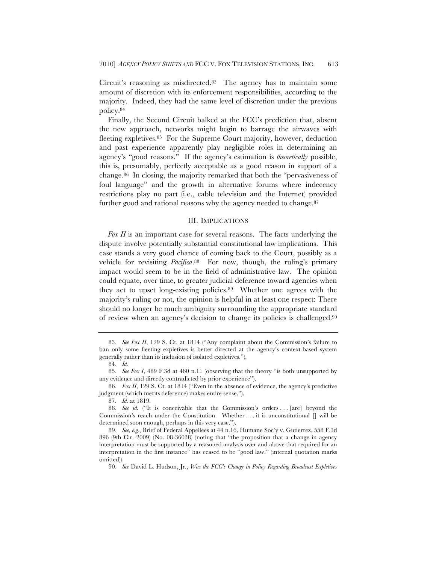Circuit's reasoning as misdirected.83 The agency has to maintain some amount of discretion with its enforcement responsibilities, according to the majority. Indeed, they had the same level of discretion under the previous policy.84

Finally, the Second Circuit balked at the FCC's prediction that, absent the new approach, networks might begin to barrage the airwaves with fleeting expletives.85 For the Supreme Court majority, however, deduction and past experience apparently play negligible roles in determining an agency's "good reasons." If the agency's estimation is *theoretically* possible, this is, presumably, perfectly acceptable as a good reason in support of a change.86 In closing, the majority remarked that both the "pervasiveness of foul language" and the growth in alternative forums where indecency restrictions play no part (i.e., cable television and the Internet) provided further good and rational reasons why the agency needed to change.<sup>87</sup>

#### III. IMPLICATIONS

*Fox II* is an important case for several reasons. The facts underlying the dispute involve potentially substantial constitutional law implications. This case stands a very good chance of coming back to the Court, possibly as a vehicle for revisiting *Pacifica*.88 For now, though, the ruling's primary impact would seem to be in the field of administrative law. The opinion could equate, over time, to greater judicial deference toward agencies when they act to upset long-existing policies.89 Whether one agrees with the majority's ruling or not, the opinion is helpful in at least one respect: There should no longer be much ambiguity surrounding the appropriate standard of review when an agency's decision to change its policies is challenged.90

<sup>83</sup>*. See Fox II*, 129 S. Ct. at 1814 ("Any complaint about the Commission's failure to ban only some fleeting expletives is better directed at the agency's context-based system generally rather than its inclusion of isolated expletives.").

<sup>84</sup>*. Id.*

<sup>85</sup>*. See Fox I*, 489 F.3d at 460 n.11 (observing that the theory "is both unsupported by any evidence and directly contradicted by prior experience").

<sup>86</sup>*. Fox II*, 129 S. Ct. at 1814 ("Even in the absence of evidence, the agency's predictive judgment (which merits deference) makes entire sense.").

<sup>87</sup>*. Id.* at 1819.

<sup>88.</sup> *See id.* ("It is conceivable that the Commission's orders ... [are] beyond the Commission's reach under the Constitution. Whether  $\dots$  it is unconstitutional  $\lceil \rceil$  will be determined soon enough, perhaps in this very case.").

<sup>89</sup>*. See, e.g.*, Brief of Federal Appellees at 44 n.16, Humane Soc'y v. Gutierrez, 558 F.3d 896 (9th Cir. 2009) (No. 08-36038) (noting that "the proposition that a change in agency interpretation must be supported by a reasoned analysis over and above that required for an interpretation in the first instance" has ceased to be "good law." (internal quotation marks omitted)).

<sup>90</sup>*. See* David L. Hudson, Jr., *Was the FCC's Change in Policy Regarding Broadcast Expletives*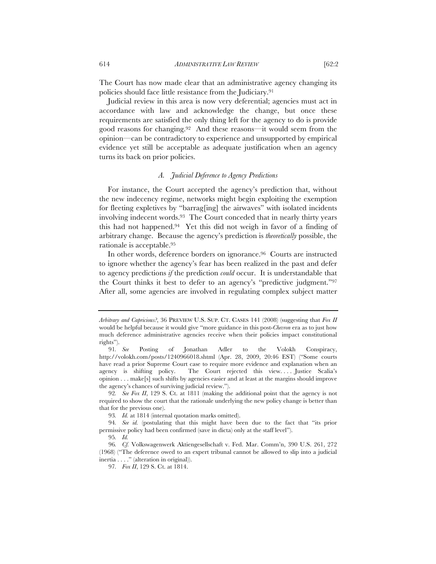The Court has now made clear that an administrative agency changing its policies should face little resistance from the Judiciary.91

Judicial review in this area is now very deferential; agencies must act in accordance with law and acknowledge the change, but once these requirements are satisfied the only thing left for the agency to do is provide good reasons for changing.92 And these reasons—it would seem from the opinion—can be contradictory to experience and unsupported by empirical evidence yet still be acceptable as adequate justification when an agency turns its back on prior policies.

## *A. Judicial Deference to Agency Predictions*

For instance, the Court accepted the agency's prediction that, without the new indecency regime, networks might begin exploiting the exemption for fleeting expletives by "barrag[ing] the airwaves" with isolated incidents involving indecent words.93 The Court conceded that in nearly thirty years this had not happened.94 Yet this did not weigh in favor of a finding of arbitrary change. Because the agency's prediction is *theoretically* possible, the rationale is acceptable.95

In other words, deference borders on ignorance.96 Courts are instructed to ignore whether the agency's fear has been realized in the past and defer to agency predictions *if* the prediction *could* occur. It is understandable that the Court thinks it best to defer to an agency's "predictive judgment."97 After all, some agencies are involved in regulating complex subject matter

*Arbitrary and Capricious?*, 36 PREVIEW U.S. SUP. CT. CASES 141 (2008) (suggesting that *Fox II*  would be helpful because it would give "more guidance in this post-*Chevron* era as to just how much deference administrative agencies receive when their policies impact constitutional rights").

<sup>91</sup>*. See* Posting of Jonathan Adler to the Volokh Conspiracy, http://volokh.com/posts/1240966018.shtml (Apr. 28, 2009, 20:46 EST) ("Some courts have read a prior Supreme Court case to require more evidence and explanation when an agency is shifting policy. The Court rejected this view..... Justice Scalia's opinion . . . make[s] such shifts by agencies easier and at least at the margins should improve the agency's chances of surviving judicial review.").

<sup>92</sup>*. See Fox II*, 129 S. Ct. at 1811 (making the additional point that the agency is not required to show the court that the rationale underlying the new policy change is better than that for the previous one).

<sup>93</sup>*. Id.* at 1814 (internal quotation marks omitted).

<sup>94</sup>*. See id.* (postulating that this might have been due to the fact that "its prior permissive policy had been confirmed (save in dicta) only at the staff level").

<sup>95</sup>*. Id.* 

<sup>96</sup>*. Cf.* Volkswagenwerk Aktiengesellschaft v. Fed. Mar. Comm'n, 390 U.S. 261, 272 (1968) ("The deference owed to an expert tribunal cannot be allowed to slip into a judicial inertia . . . ." (alteration in original)).

<sup>97</sup>*. Fox II*, 129 S. Ct. at 1814.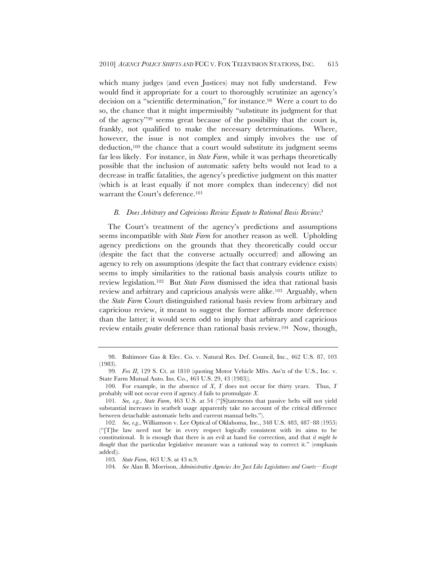which many judges (and even Justices) may not fully understand. Few would find it appropriate for a court to thoroughly scrutinize an agency's decision on a "scientific determination," for instance.98 Were a court to do so, the chance that it might impermissibly "substitute its judgment for that of the agency"99 seems great because of the possibility that the court is, frankly, not qualified to make the necessary determinations. Where, however, the issue is not complex and simply involves the use of deduction,100 the chance that a court would substitute its judgment seems far less likely. For instance, in *State Farm*, while it was perhaps theoretically possible that the inclusion of automatic safety belts would not lead to a decrease in traffic fatalities, the agency's predictive judgment on this matter (which is at least equally if not more complex than indecency) did not warrant the Court's deference.101

#### *B. Does Arbitrary and Capricious Review Equate to Rational Basis Review?*

The Court's treatment of the agency's predictions and assumptions seems incompatible with *State Farm* for another reason as well. Upholding agency predictions on the grounds that they theoretically could occur (despite the fact that the converse actually occurred) and allowing an agency to rely on assumptions (despite the fact that contrary evidence exists) seems to imply similarities to the rational basis analysis courts utilize to review legislation.102 But *State Farm* dismissed the idea that rational basis review and arbitrary and capricious analysis were alike.103 Arguably, when the *State Farm* Court distinguished rational basis review from arbitrary and capricious review, it meant to suggest the former affords more deference than the latter; it would seem odd to imply that arbitrary and capricious review entails *greater* deference than rational basis review.104 Now, though,

<sup>98.</sup> Baltimore Gas & Elec. Co. v. Natural Res. Def. Council, Inc., 462 U.S. 87, 103 (1983).

<sup>99</sup>*. Fox II*, 129 S. Ct. at 1810 (quoting Motor Vehicle Mfrs. Ass'n of the U.S., Inc. v. State Farm Mutual Auto. Ins. Co., 463 U.S. 29, 43 (1983)).

<sup>100</sup>*.* For example, in the absence of *X*, *Y* does not occur for thirty years. Thus, *Y* probably will not occur even if agency *A* fails to promulgate *X*.

<sup>101</sup>*. See, e.g.*, *State Farm*, 463 U.S. at 54 ("[S]tatements that passive belts will not yield substantial increases in seatbelt usage apparently take no account of the critical difference between detachable automatic belts and current manual belts.").

<sup>102</sup>*. See, e.g.*, Williamson v. Lee Optical of Oklahoma, Inc., 348 U.S. 483, 487–88 (1955) ("[T]he law need not be in every respect logically consistent with its aims to be constitutional. It is enough that there is an evil at hand for correction, and that *it might be thought* that the particular legislative measure was a rational way to correct it." (emphasis added)).

<sup>103</sup>*. State Farm*, 463 U.S. at 43 n.9.

<sup>104</sup>*. See* Alan B. Morrison, *Administrative Agencies Are Just Like Legislatures and Courts—Except*